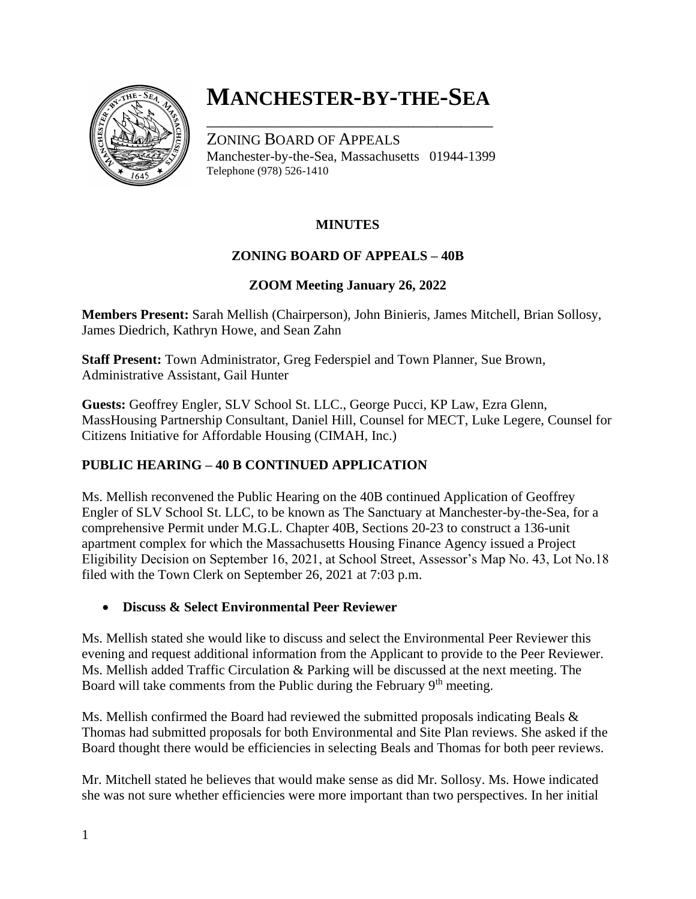

# **MANCHESTER-BY-THE-SEA**

\_\_\_\_\_\_\_\_\_\_\_\_\_\_\_\_\_\_\_\_\_\_\_\_\_\_\_\_\_\_\_\_\_\_\_\_

ZONING BOARD OF APPEALS Manchester-by-the-Sea, Massachusetts 01944-1399 Telephone (978) 526-1410

### **MINUTES**

### **ZONING BOARD OF APPEALS – 40B**

#### **ZOOM Meeting January 26, 2022**

**Members Present:** Sarah Mellish (Chairperson), John Binieris, James Mitchell, Brian Sollosy, James Diedrich, Kathryn Howe, and Sean Zahn

**Staff Present:** Town Administrator, Greg Federspiel and Town Planner, Sue Brown, Administrative Assistant, Gail Hunter

**Guests:** Geoffrey Engler, SLV School St. LLC., George Pucci, KP Law, Ezra Glenn, MassHousing Partnership Consultant, Daniel Hill, Counsel for MECT, Luke Legere, Counsel for Citizens Initiative for Affordable Housing (CIMAH, Inc.)

### **PUBLIC HEARING – 40 B CONTINUED APPLICATION**

Ms. Mellish reconvened the Public Hearing on the 40B continued Application of Geoffrey Engler of SLV School St. LLC, to be known as The Sanctuary at Manchester-by-the-Sea, for a comprehensive Permit under M.G.L. Chapter 40B, Sections 20-23 to construct a 136-unit apartment complex for which the Massachusetts Housing Finance Agency issued a Project Eligibility Decision on September 16, 2021, at School Street, Assessor's Map No. 43, Lot No.18 filed with the Town Clerk on September 26, 2021 at 7:03 p.m.

#### • **Discuss & Select Environmental Peer Reviewer**

Ms. Mellish stated she would like to discuss and select the Environmental Peer Reviewer this evening and request additional information from the Applicant to provide to the Peer Reviewer. Ms. Mellish added Traffic Circulation & Parking will be discussed at the next meeting. The Board will take comments from the Public during the February 9<sup>th</sup> meeting.

Ms. Mellish confirmed the Board had reviewed the submitted proposals indicating Beals  $\&$ Thomas had submitted proposals for both Environmental and Site Plan reviews. She asked if the Board thought there would be efficiencies in selecting Beals and Thomas for both peer reviews.

Mr. Mitchell stated he believes that would make sense as did Mr. Sollosy. Ms. Howe indicated she was not sure whether efficiencies were more important than two perspectives. In her initial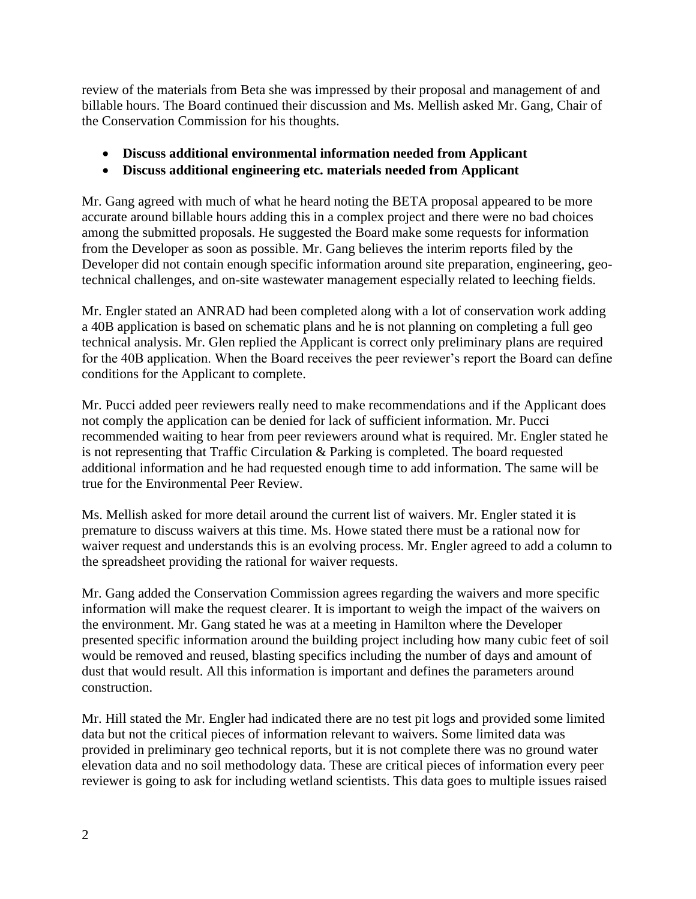review of the materials from Beta she was impressed by their proposal and management of and billable hours. The Board continued their discussion and Ms. Mellish asked Mr. Gang, Chair of the Conservation Commission for his thoughts.

- **Discuss additional environmental information needed from Applicant**
- **Discuss additional engineering etc. materials needed from Applicant**

Mr. Gang agreed with much of what he heard noting the BETA proposal appeared to be more accurate around billable hours adding this in a complex project and there were no bad choices among the submitted proposals. He suggested the Board make some requests for information from the Developer as soon as possible. Mr. Gang believes the interim reports filed by the Developer did not contain enough specific information around site preparation, engineering, geotechnical challenges, and on-site wastewater management especially related to leeching fields.

Mr. Engler stated an ANRAD had been completed along with a lot of conservation work adding a 40B application is based on schematic plans and he is not planning on completing a full geo technical analysis. Mr. Glen replied the Applicant is correct only preliminary plans are required for the 40B application. When the Board receives the peer reviewer's report the Board can define conditions for the Applicant to complete.

Mr. Pucci added peer reviewers really need to make recommendations and if the Applicant does not comply the application can be denied for lack of sufficient information. Mr. Pucci recommended waiting to hear from peer reviewers around what is required. Mr. Engler stated he is not representing that Traffic Circulation & Parking is completed. The board requested additional information and he had requested enough time to add information. The same will be true for the Environmental Peer Review.

Ms. Mellish asked for more detail around the current list of waivers. Mr. Engler stated it is premature to discuss waivers at this time. Ms. Howe stated there must be a rational now for waiver request and understands this is an evolving process. Mr. Engler agreed to add a column to the spreadsheet providing the rational for waiver requests.

Mr. Gang added the Conservation Commission agrees regarding the waivers and more specific information will make the request clearer. It is important to weigh the impact of the waivers on the environment. Mr. Gang stated he was at a meeting in Hamilton where the Developer presented specific information around the building project including how many cubic feet of soil would be removed and reused, blasting specifics including the number of days and amount of dust that would result. All this information is important and defines the parameters around construction.

Mr. Hill stated the Mr. Engler had indicated there are no test pit logs and provided some limited data but not the critical pieces of information relevant to waivers. Some limited data was provided in preliminary geo technical reports, but it is not complete there was no ground water elevation data and no soil methodology data. These are critical pieces of information every peer reviewer is going to ask for including wetland scientists. This data goes to multiple issues raised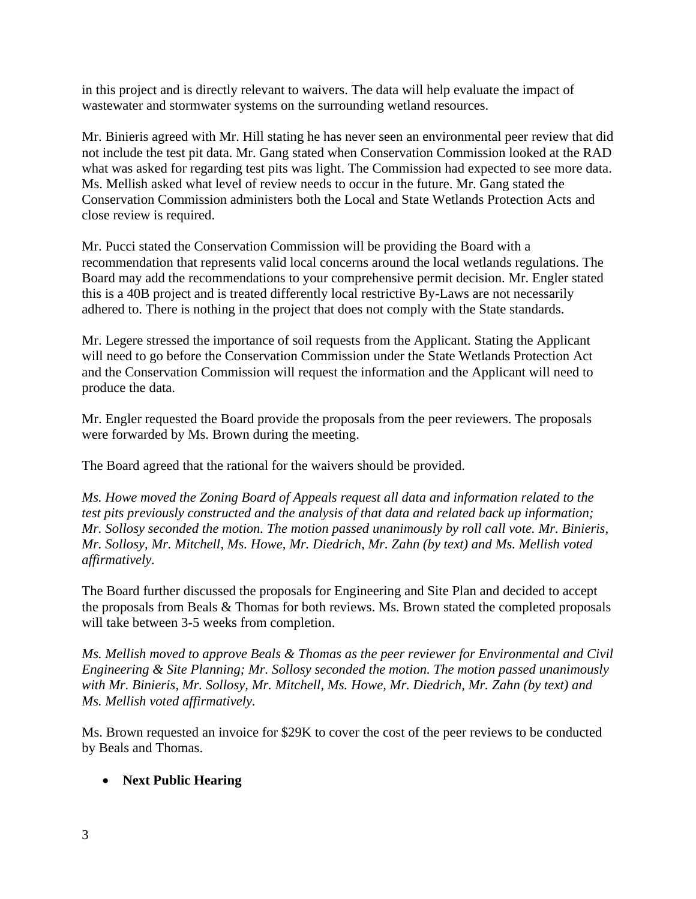in this project and is directly relevant to waivers. The data will help evaluate the impact of wastewater and stormwater systems on the surrounding wetland resources.

Mr. Binieris agreed with Mr. Hill stating he has never seen an environmental peer review that did not include the test pit data. Mr. Gang stated when Conservation Commission looked at the RAD what was asked for regarding test pits was light. The Commission had expected to see more data. Ms. Mellish asked what level of review needs to occur in the future. Mr. Gang stated the Conservation Commission administers both the Local and State Wetlands Protection Acts and close review is required.

Mr. Pucci stated the Conservation Commission will be providing the Board with a recommendation that represents valid local concerns around the local wetlands regulations. The Board may add the recommendations to your comprehensive permit decision. Mr. Engler stated this is a 40B project and is treated differently local restrictive By-Laws are not necessarily adhered to. There is nothing in the project that does not comply with the State standards.

Mr. Legere stressed the importance of soil requests from the Applicant. Stating the Applicant will need to go before the Conservation Commission under the State Wetlands Protection Act and the Conservation Commission will request the information and the Applicant will need to produce the data.

Mr. Engler requested the Board provide the proposals from the peer reviewers. The proposals were forwarded by Ms. Brown during the meeting.

The Board agreed that the rational for the waivers should be provided.

*Ms. Howe moved the Zoning Board of Appeals request all data and information related to the test pits previously constructed and the analysis of that data and related back up information; Mr. Sollosy seconded the motion. The motion passed unanimously by roll call vote. Mr. Binieris, Mr. Sollosy, Mr. Mitchell, Ms. Howe, Mr. Diedrich, Mr. Zahn (by text) and Ms. Mellish voted affirmatively.* 

The Board further discussed the proposals for Engineering and Site Plan and decided to accept the proposals from Beals & Thomas for both reviews. Ms. Brown stated the completed proposals will take between 3-5 weeks from completion.

*Ms. Mellish moved to approve Beals & Thomas as the peer reviewer for Environmental and Civil Engineering & Site Planning; Mr. Sollosy seconded the motion. The motion passed unanimously with Mr. Binieris, Mr. Sollosy, Mr. Mitchell, Ms. Howe, Mr. Diedrich, Mr. Zahn (by text) and Ms. Mellish voted affirmatively.* 

Ms. Brown requested an invoice for \$29K to cover the cost of the peer reviews to be conducted by Beals and Thomas.

### • **Next Public Hearing**